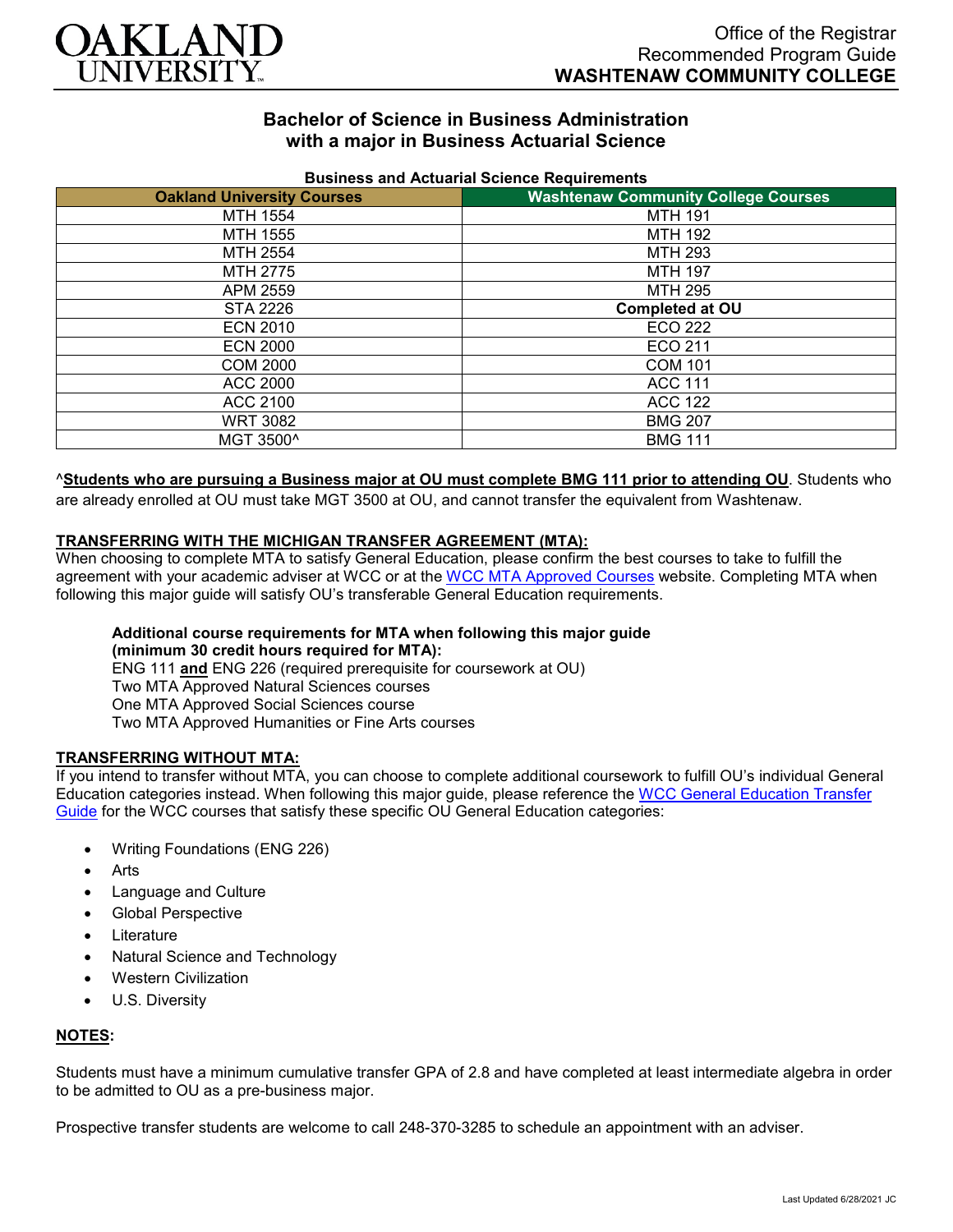

# **Bachelor of Science in Business Administration with a major in Business Actuarial Science**

| <b>Oakland University Courses</b> | <u>Pasincos ana Actuanai Ocionoc Itoquilonicho</u><br><b>Washtenaw Community College Courses</b> |
|-----------------------------------|--------------------------------------------------------------------------------------------------|
| MTH 1554                          | <b>MTH 191</b>                                                                                   |
| MTH 1555                          | <b>MTH 192</b>                                                                                   |
| MTH 2554                          | <b>MTH 293</b>                                                                                   |
| MTH 2775                          | <b>MTH 197</b>                                                                                   |
| APM 2559                          | <b>MTH 295</b>                                                                                   |
| STA 2226                          | <b>Completed at OU</b>                                                                           |
| <b>ECN 2010</b>                   | ECO 222                                                                                          |
| <b>ECN 2000</b>                   | ECO 211                                                                                          |
| <b>COM 2000</b>                   | <b>COM 101</b>                                                                                   |
| ACC 2000                          | <b>ACC 111</b>                                                                                   |
| ACC 2100                          | <b>ACC 122</b>                                                                                   |
| <b>WRT 3082</b>                   | <b>BMG 207</b>                                                                                   |
| MGT 3500^                         | <b>BMG 111</b>                                                                                   |

### **Business and Actuarial Science Requirements**

### ^**Students who are pursuing a Business major at OU must complete BMG 111 prior to attending OU**. Students who

are already enrolled at OU must take MGT 3500 at OU, and cannot transfer the equivalent from Washtenaw.

### **TRANSFERRING WITH THE MICHIGAN TRANSFER AGREEMENT (MTA):**

When choosing to complete MTA to satisfy General Education, please confirm the best courses to take to fulfill the agreement with your academic adviser at WCC or at the [WCC MTA Approved Courses](http://www.wccnet.edu/services/transferresources/mta/) website. Completing MTA when following this major guide will satisfy OU's transferable General Education requirements.

#### **Additional course requirements for MTA when following this major guide (minimum 30 credit hours required for MTA):**

ENG 111 **and** ENG 226 (required prerequisite for coursework at OU) Two MTA Approved Natural Sciences courses One MTA Approved Social Sciences course Two MTA Approved Humanities or Fine Arts courses

# **TRANSFERRING WITHOUT MTA:**

If you intend to transfer without MTA, you can choose to complete additional coursework to fulfill OU's individual General Education categories instead. When following this major guide, please reference the WCC General Education Transfer [Guide](https://www.oakland.edu/Assets/Oakland/program-guides/washtenaw-community-college/university-general-education-requirements/Washtenaw%20Gen%20Ed.pdf) for the WCC courses that satisfy these specific OU General Education categories:

- Writing Foundations (ENG 226)
- **Arts**
- Language and Culture
- Global Perspective
- **Literature**
- Natural Science and Technology
- Western Civilization
- U.S. Diversity

# **NOTES:**

Students must have a minimum cumulative transfer GPA of 2.8 and have completed at least intermediate algebra in order to be admitted to OU as a pre-business major.

Prospective transfer students are welcome to call 248-370-3285 to schedule an appointment with an adviser.